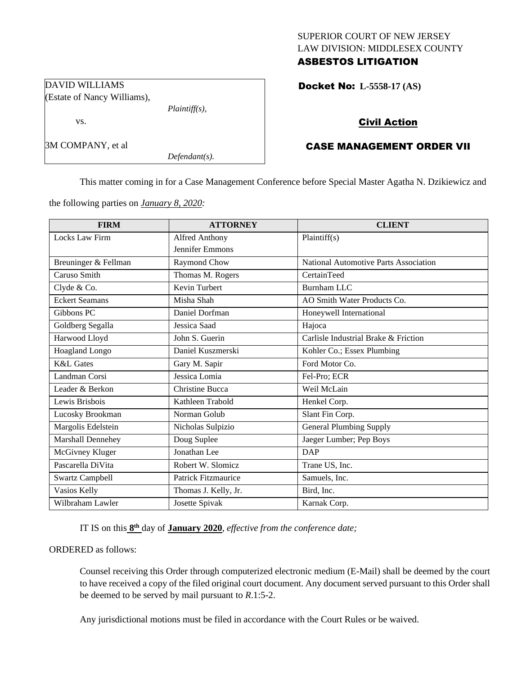### SUPERIOR COURT OF NEW JERSEY LAW DIVISION: MIDDLESEX COUNTY ASBESTOS LITIGATION

Docket No: **L-5558-17 (AS)** 

## Civil Action

# CASE MANAGEMENT ORDER VII

This matter coming in for a Case Management Conference before Special Master Agatha N. Dzikiewicz and

the following parties on *January 8, 2020:*

*Plaintiff(s),*

*Defendant(s).*

| <b>FIRM</b>            | <b>ATTORNEY</b>            | <b>CLIENT</b>                         |
|------------------------|----------------------------|---------------------------------------|
| <b>Locks Law Firm</b>  | <b>Alfred Anthony</b>      | Plaintiff(s)                          |
|                        | <b>Jennifer Emmons</b>     |                                       |
| Breuninger & Fellman   | Raymond Chow               | National Automotive Parts Association |
| Caruso Smith           | Thomas M. Rogers           | CertainTeed                           |
| Clyde & Co.            | Kevin Turbert              | <b>Burnham LLC</b>                    |
| <b>Eckert Seamans</b>  | Misha Shah                 | AO Smith Water Products Co.           |
| Gibbons PC             | Daniel Dorfman             | Honeywell International               |
| Goldberg Segalla       | Jessica Saad               | Hajoca                                |
| Harwood Lloyd          | John S. Guerin             | Carlisle Industrial Brake & Friction  |
| Hoagland Longo         | Daniel Kuszmerski          | Kohler Co.; Essex Plumbing            |
| <b>K&amp;L</b> Gates   | Gary M. Sapir              | Ford Motor Co.                        |
| Landman Corsi          | Jessica Lomia              | Fel-Pro; ECR                          |
| Leader & Berkon        | <b>Christine Bucca</b>     | Weil McLain                           |
| Lewis Brisbois         | Kathleen Trabold           | Henkel Corp.                          |
| Lucosky Brookman       | Norman Golub               | Slant Fin Corp.                       |
| Margolis Edelstein     | Nicholas Sulpizio          | <b>General Plumbing Supply</b>        |
| Marshall Dennehey      | Doug Suplee                | Jaeger Lumber; Pep Boys               |
| McGivney Kluger        | Jonathan Lee               | <b>DAP</b>                            |
| Pascarella DiVita      | Robert W. Slomicz          | Trane US, Inc.                        |
| <b>Swartz Campbell</b> | <b>Patrick Fitzmaurice</b> | Samuels, Inc.                         |
| Vasios Kelly           | Thomas J. Kelly, Jr.       | Bird, Inc.                            |
| Wilbraham Lawler       | Josette Spivak             | Karnak Corp.                          |

IT IS on this  $8<sup>th</sup>$  day of **January 2020**, *effective from the conference date*;

## ORDERED as follows:

Counsel receiving this Order through computerized electronic medium (E-Mail) shall be deemed by the court to have received a copy of the filed original court document. Any document served pursuant to this Order shall be deemed to be served by mail pursuant to *R*.1:5-2.

Any jurisdictional motions must be filed in accordance with the Court Rules or be waived.

DAVID WILLIAMS (Estate of Nancy Williams),

vs.

3M COMPANY, et al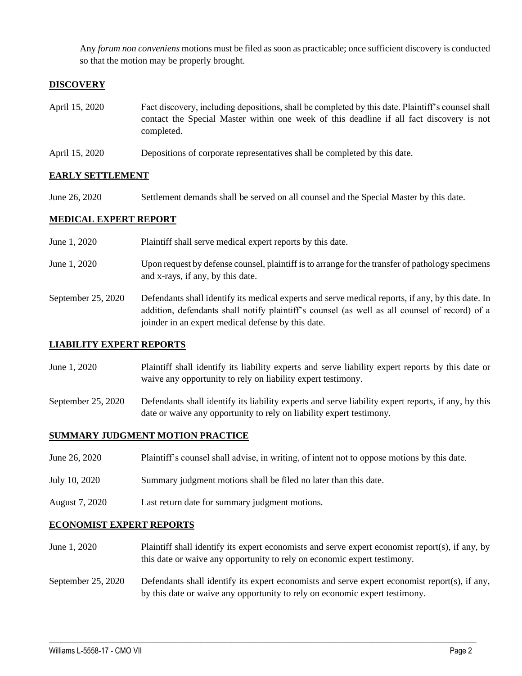Any *forum non conveniens* motions must be filed as soon as practicable; once sufficient discovery is conducted so that the motion may be properly brought.

## **DISCOVERY**

- April 15, 2020 Fact discovery, including depositions, shall be completed by this date. Plaintiff's counsel shall contact the Special Master within one week of this deadline if all fact discovery is not completed.
- April 15, 2020 Depositions of corporate representatives shall be completed by this date.

### **EARLY SETTLEMENT**

June 26, 2020 Settlement demands shall be served on all counsel and the Special Master by this date.

#### **MEDICAL EXPERT REPORT**

- June 1, 2020 Plaintiff shall serve medical expert reports by this date.
- June 1, 2020 Upon request by defense counsel, plaintiff is to arrange for the transfer of pathology specimens and x-rays, if any, by this date.
- September 25, 2020 Defendants shall identify its medical experts and serve medical reports, if any, by this date. In addition, defendants shall notify plaintiff's counsel (as well as all counsel of record) of a joinder in an expert medical defense by this date.

#### **LIABILITY EXPERT REPORTS**

- June 1, 2020 Plaintiff shall identify its liability experts and serve liability expert reports by this date or waive any opportunity to rely on liability expert testimony.
- September 25, 2020 Defendants shall identify its liability experts and serve liability expert reports, if any, by this date or waive any opportunity to rely on liability expert testimony.

#### **SUMMARY JUDGMENT MOTION PRACTICE**

- June 26, 2020 Plaintiff's counsel shall advise, in writing, of intent not to oppose motions by this date.
- July 10, 2020 Summary judgment motions shall be filed no later than this date.
- August 7, 2020 Last return date for summary judgment motions.

#### **ECONOMIST EXPERT REPORTS**

- June 1, 2020 Plaintiff shall identify its expert economists and serve expert economist report(s), if any, by this date or waive any opportunity to rely on economic expert testimony.
- September 25, 2020 Defendants shall identify its expert economists and serve expert economist report(s), if any, by this date or waive any opportunity to rely on economic expert testimony.

 $\_$  , and the set of the set of the set of the set of the set of the set of the set of the set of the set of the set of the set of the set of the set of the set of the set of the set of the set of the set of the set of th